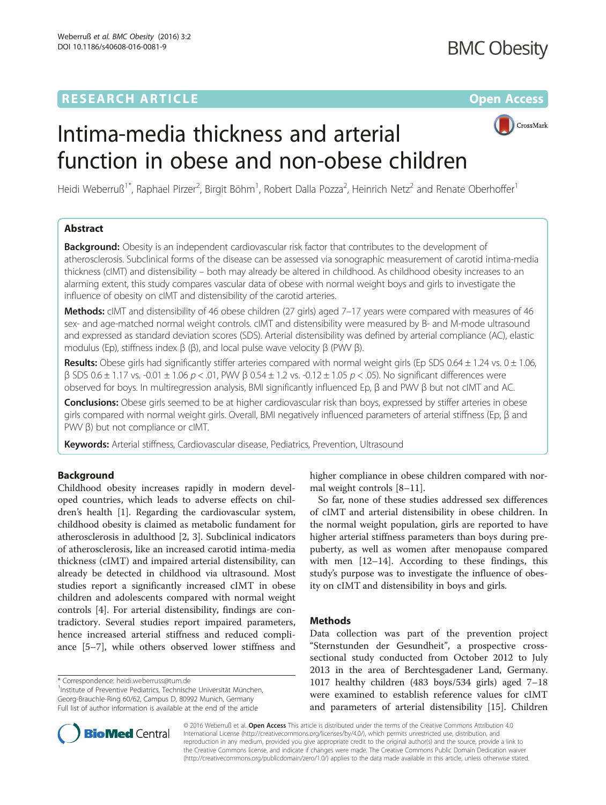## **RESEARCH ARTICLE Example 2018 12:00 Department of the CONNECTION CONNECTION CONNECTION CONNECTION CONNECTION**



# Intima-media thickness and arterial function in obese and non-obese children

Heidi Weberruß<sup>1\*</sup>, Raphael Pirzer<sup>2</sup>, Birgit Böhm<sup>1</sup>, Robert Dalla Pozza<sup>2</sup>, Heinrich Netz<sup>2</sup> and Renate Oberhoffer<sup>1</sup>

## Abstract

**Background:** Obesity is an independent cardiovascular risk factor that contributes to the development of atherosclerosis. Subclinical forms of the disease can be assessed via sonographic measurement of carotid intima-media thickness (cIMT) and distensibility – both may already be altered in childhood. As childhood obesity increases to an alarming extent, this study compares vascular data of obese with normal weight boys and girls to investigate the influence of obesity on cIMT and distensibility of the carotid arteries.

Methods: cIMT and distensibility of 46 obese children (27 girls) aged 7-17 years were compared with measures of 46 sex- and age-matched normal weight controls. cIMT and distensibility were measured by B- and M-mode ultrasound and expressed as standard deviation scores (SDS). Arterial distensibility was defined by arterial compliance (AC), elastic modulus (Ep), stiffness index β (β), and local pulse wave velocity β (PWV β).

Results: Obese girls had significantly stiffer arteries compared with normal weight girls (Ep SDS 0.64  $\pm$  1.24 vs. 0  $\pm$  1.06, β SDS 0.6 ± 1.17 vs. -0.01 ± 1.06 p < .01, PWV β 0.54 ± 1.2 vs. -0.12 ± 1.05 p < .05). No significant differences were observed for boys. In multiregression analysis, BMI significantly influenced Ep, β and PWV β but not cIMT and AC.

**Conclusions:** Obese girls seemed to be at higher cardiovascular risk than boys, expressed by stiffer arteries in obese girls compared with normal weight girls. Overall, BMI negatively influenced parameters of arterial stiffness (Ep, β and PWV β) but not compliance or cIMT.

Keywords: Arterial stiffness, Cardiovascular disease, Pediatrics, Prevention, Ultrasound

## Background

Childhood obesity increases rapidly in modern developed countries, which leads to adverse effects on children's health [[1](#page-4-0)]. Regarding the cardiovascular system, childhood obesity is claimed as metabolic fundament for atherosclerosis in adulthood [[2, 3](#page-4-0)]. Subclinical indicators of atherosclerosis, like an increased carotid intima-media thickness (cIMT) and impaired arterial distensibility, can already be detected in childhood via ultrasound. Most studies report a significantly increased cIMT in obese children and adolescents compared with normal weight controls [[4\]](#page-4-0). For arterial distensibility, findings are contradictory. Several studies report impaired parameters, hence increased arterial stiffness and reduced compliance [[5](#page-4-0)–[7](#page-4-0)], while others observed lower stiffness and

\* Correspondence: [heidi.weberruss@tum.de](mailto:heidi.weberruss@tum.de) <sup>1</sup>

<sup>1</sup>Institute of Preventive Pediatrics, Technische Universität München, Georg-Brauchle-Ring 60/62, Campus D, 80992 Munich, Germany Full list of author information is available at the end of the article

higher compliance in obese children compared with normal weight controls [\[8](#page-4-0)–[11\]](#page-4-0).

So far, none of these studies addressed sex differences of cIMT and arterial distensibility in obese children. In the normal weight population, girls are reported to have higher arterial stiffness parameters than boys during prepuberty, as well as women after menopause compared with men [[12](#page-4-0)–[14](#page-4-0)]. According to these findings, this study's purpose was to investigate the influence of obesity on cIMT and distensibility in boys and girls.

## **Methods**

Data collection was part of the prevention project "Sternstunden der Gesundheit", a prospective crosssectional study conducted from October 2012 to July 2013 in the area of Berchtesgadener Land, Germany. 1017 healthy children (483 boys/534 girls) aged 7–18 were examined to establish reference values for cIMT and parameters of arterial distensibility [\[15](#page-4-0)]. Children



© 2016 Weberruß et al. Open Access This article is distributed under the terms of the Creative Commons Attribution 4.0 International License [\(http://creativecommons.org/licenses/by/4.0/](http://creativecommons.org/licenses/by/4.0/)), which permits unrestricted use, distribution, and reproduction in any medium, provided you give appropriate credit to the original author(s) and the source, provide a link to the Creative Commons license, and indicate if changes were made. The Creative Commons Public Domain Dedication waiver [\(http://creativecommons.org/publicdomain/zero/1.0/](http://creativecommons.org/publicdomain/zero/1.0/)) applies to the data made available in this article, unless otherwise stated.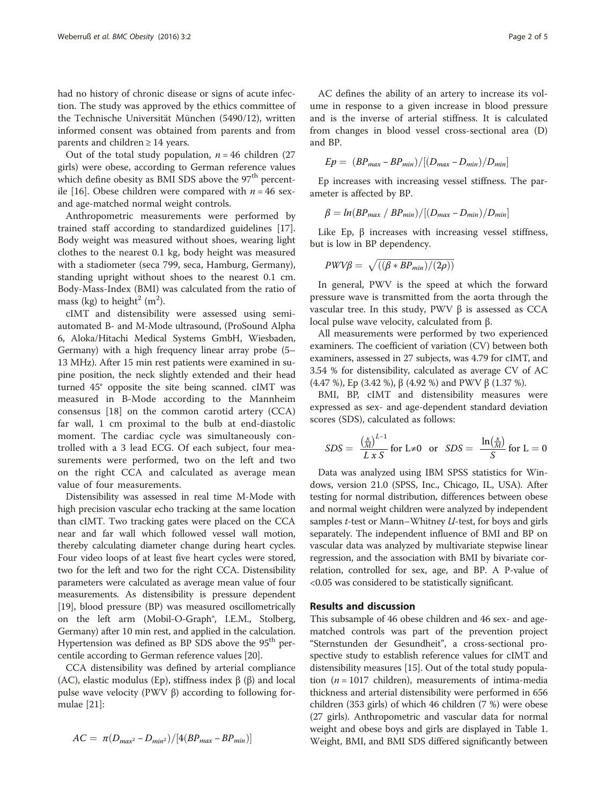had no history of chronic disease or signs of acute infection. The study was approved by the ethics committee of the Technische Universität München (5490/12), written informed consent was obtained from parents and from parents and children ≥ 14 years.

Out of the total study population,  $n = 46$  children (27) girls) were obese, according to German reference values which define obesity as BMI SDS above the  $97<sup>th</sup>$  percent-ile [[16\]](#page-4-0). Obese children were compared with  $n = 46$  sexand age-matched normal weight controls.

Anthropometric measurements were performed by trained staff according to standardized guidelines [\[17](#page-4-0)]. Body weight was measured without shoes, wearing light clothes to the nearest 0.1 kg, body height was measured with a stadiometer (seca 799, seca, Hamburg, Germany), standing upright without shoes to the nearest 0.1 cm. Body-Mass-Index (BMI) was calculated from the ratio of mass (kg) to height<sup>2</sup> (m<sup>2</sup>).

cIMT and distensibility were assessed using semiautomated B- and M-Mode ultrasound, (ProSound Alpha 6, Aloka/Hitachi Medical Systems GmbH, Wiesbaden, Germany) with a high frequency linear array probe (5– 13 MHz). After 15 min rest patients were examined in supine position, the neck slightly extended and their head turned 45° opposite the site being scanned. cIMT was measured in B-Mode according to the Mannheim consensus [[18](#page-4-0)] on the common carotid artery (CCA) far wall, 1 cm proximal to the bulb at end-diastolic moment. The cardiac cycle was simultaneously controlled with a 3 lead ECG. Of each subject, four measurements were performed, two on the left and two on the right CCA and calculated as average mean value of four measurements.

Distensibility was assessed in real time M-Mode with high precision vascular echo tracking at the same location than cIMT. Two tracking gates were placed on the CCA near and far wall which followed vessel wall motion, thereby calculating diameter change during heart cycles. Four video loops of at least five heart cycles were stored, two for the left and two for the right CCA. Distensibility parameters were calculated as average mean value of four measurements. As distensibility is pressure dependent [[19](#page-4-0)], blood pressure (BP) was measured oscillometrically on the left arm (Mobil-O-Graph<sup>®</sup>, I.E.M., Stolberg, Germany) after 10 min rest, and applied in the calculation. Hypertension was defined as BP SDS above the 95<sup>th</sup> percentile according to German reference values [\[20\]](#page-4-0).

CCA distensibility was defined by arterial compliance (AC), elastic modulus (Ep), stiffness index  $β$  ( $β$ ) and local pulse wave velocity (PWV β) according to following formulae [[21](#page-4-0)]:

$$
AC = \pi (D_{max^2} - D_{min^2}) / [4(BP_{max} - BP_{min})]
$$

AC defines the ability of an artery to increase its volume in response to a given increase in blood pressure and is the inverse of arterial stiffness. It is calculated from changes in blood vessel cross-sectional area (D) and BP.

$$
Ep = (BP_{max} - BP_{min})/[(D_{max} - D_{min})/D_{min}]
$$

Ep increases with increasing vessel stiffness. The parameter is affected by BP.

$$
\beta = ln(BP_{max} / BP_{min}) / [(D_{max} - D_{min}) / D_{min}]
$$

Like Ep,  $β$  increases with increasing vessel stiffness, but is low in BP dependency.

$$
PWV\beta = \sqrt{((\beta * BP_{min})/(2\rho))}
$$

In general, PWV is the speed at which the forward pressure wave is transmitted from the aorta through the vascular tree. In this study, PWV β is assessed as CCA local pulse wave velocity, calculated from β.

All measurements were performed by two experienced examiners. The coefficient of variation (CV) between both examiners, assessed in 27 subjects, was 4.79 for cIMT, and 3.54 % for distensibility, calculated as average CV of AC (4.47 %), Ep (3.42 %), β (4.92 %) and PWV β (1.37 %).

BMI, BP, cIMT and distensibility measures were expressed as sex- and age-dependent standard deviation scores (SDS), calculated as follows:

$$
SDS = \frac{\left(\frac{x}{M}\right)^{L-1}}{L x S} \text{ for } L \neq 0 \quad \text{or} \quad SDS = \frac{\ln\left(\frac{x}{M}\right)}{S} \text{ for } L = 0
$$

Data was analyzed using IBM SPSS statistics for Windows, version 21.0 (SPSS, Inc., Chicago, IL, USA). After testing for normal distribution, differences between obese and normal weight children were analyzed by independent samples t-test or Mann–Whitney U-test, for boys and girls separately. The independent influence of BMI and BP on vascular data was analyzed by multivariate stepwise linear regression, and the association with BMI by bivariate correlation, controlled for sex, age, and BP. A P-value of <0.05 was considered to be statistically significant.

## Results and discussion

This subsample of 46 obese children and 46 sex- and agematched controls was part of the prevention project "Sternstunden der Gesundheit", a cross-sectional prospective study to establish reference values for cIMT and distensibility measures [[15](#page-4-0)]. Out of the total study population ( $n = 1017$  children), measurements of intima-media thickness and arterial distensibility were performed in 656 children (353 girls) of which 46 children (7 %) were obese (27 girls). Anthropometric and vascular data for normal weight and obese boys and girls are displayed in Table [1](#page-2-0). Weight, BMI, and BMI SDS differed significantly between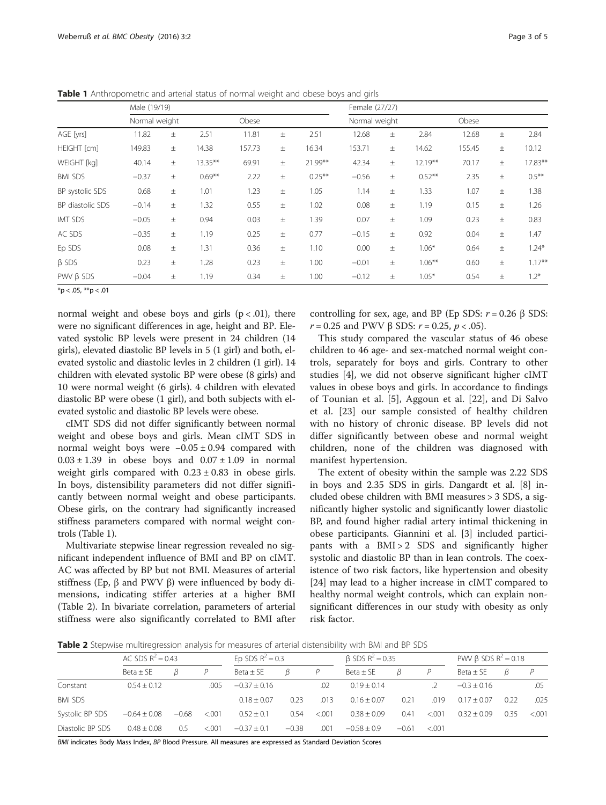| AGE [yrs]        | Male (19/19)  |       |            | Female (27/27) |       |           |               |       |            |        |       |           |
|------------------|---------------|-------|------------|----------------|-------|-----------|---------------|-------|------------|--------|-------|-----------|
|                  | Normal weight |       |            | Obese          |       |           | Normal weight |       |            | Obese  |       |           |
|                  | 11.82         | $\pm$ | 2.51       | 11.81          | $\pm$ | 2.51      | 12.68         | $\pm$ | 2.84       | 12.68  | 土     | 2.84      |
| HEIGHT [cm]      | 149.83        | $\pm$ | 14.38      | 157.73         | $\pm$ | 16.34     | 153.71        | $\pm$ | 14.62      | 155.45 | 土     | 10.12     |
| WEIGHT [kq]      | 40.14         | $\pm$ | $13.35***$ | 69.91          | $\pm$ | 21.99**   | 42.34         | $\pm$ | $12.19***$ | 70.17  | $\pm$ | $17.83**$ |
| <b>BMI SDS</b>   | $-0.37$       | $\pm$ | $0.69***$  | 2.22           | $\pm$ | $0.25***$ | $-0.56$       | $\pm$ | $0.52***$  | 2.35   | 土     | $0.5***$  |
| BP systolic SDS  | 0.68          | $\pm$ | 1.01       | 1.23           | $\pm$ | 1.05      | 1.14          | $\pm$ | 1.33       | 1.07   | $\pm$ | 1.38      |
| BP diastolic SDS | $-0.14$       | $\pm$ | 1.32       | 0.55           | $\pm$ | 1.02      | 0.08          | $\pm$ | 1.19       | 0.15   | 土     | 1.26      |
| <b>IMT SDS</b>   | $-0.05$       | $\pm$ | 0.94       | 0.03           | $\pm$ | 1.39      | 0.07          | $\pm$ | 1.09       | 0.23   | $\pm$ | 0.83      |
| AC SDS           | $-0.35$       | $\pm$ | 1.19       | 0.25           | $\pm$ | 0.77      | $-0.15$       | $\pm$ | 0.92       | 0.04   | $\pm$ | 1.47      |
| Ep SDS           | 0.08          | $\pm$ | 1.31       | 0.36           | $\pm$ | 1.10      | 0.00          | $\pm$ | $1.06*$    | 0.64   | 土     | $1.24*$   |
| $\beta$ SDS      | 0.23          | $\pm$ | 1.28       | 0.23           | $\pm$ | 1.00      | $-0.01$       | $\pm$ | $1.06***$  | 0.60   | $\pm$ | $1.17***$ |
| PWV B SDS        | $-0.04$       | $\pm$ | 1.19       | 0.34           | 土     | 1.00      | $-0.12$       | $\pm$ | $1.05*$    | 0.54   | $\pm$ | $1.2*$    |

<span id="page-2-0"></span>**Table 1** Anthropometric and arterial status of normal weight and obese boys and girls

 $*$ p < .05,  $*$  $*$ p < .01

normal weight and obese boys and girls  $(p < .01)$ , there were no significant differences in age, height and BP. Elevated systolic BP levels were present in 24 children (14 girls), elevated diastolic BP levels in 5 (1 girl) and both, elevated systolic and diastolic levles in 2 children (1 girl). 14 children with elevated systolic BP were obese (8 girls) and 10 were normal weight (6 girls). 4 children with elevated diastolic BP were obese (1 girl), and both subjects with elevated systolic and diastolic BP levels were obese.

cIMT SDS did not differ significantly between normal weight and obese boys and girls. Mean cIMT SDS in normal weight boys were −0.05 ± 0.94 compared with  $0.03 \pm 1.39$  in obese boys and  $0.07 \pm 1.09$  in normal weight girls compared with  $0.23 \pm 0.83$  in obese girls. In boys, distensibility parameters did not differ significantly between normal weight and obese participants. Obese girls, on the contrary had significantly increased stiffness parameters compared with normal weight controls (Table 1).

Multivariate stepwise linear regression revealed no significant independent influence of BMI and BP on cIMT. AC was affected by BP but not BMI. Measures of arterial stiffness (Ep, β and PWV β) were influenced by body dimensions, indicating stiffer arteries at a higher BMI (Table 2). In bivariate correlation, parameters of arterial stiffness were also significantly correlated to BMI after

controlling for sex, age, and BP (Ep SDS:  $r = 0.26$   $\beta$  SDS:  $r = 0.25$  and PWV  $\beta$  SDS:  $r = 0.25$ ,  $p < .05$ ).

This study compared the vascular status of 46 obese children to 46 age- and sex-matched normal weight controls, separately for boys and girls. Contrary to other studies [\[4\]](#page-4-0), we did not observe significant higher cIMT values in obese boys and girls. In accordance to findings of Tounian et al. [[5\]](#page-4-0), Aggoun et al. [[22](#page-4-0)], and Di Salvo et al. [\[23](#page-4-0)] our sample consisted of healthy children with no history of chronic disease. BP levels did not differ significantly between obese and normal weight children, none of the children was diagnosed with manifest hypertension.

The extent of obesity within the sample was 2.22 SDS in boys and 2.35 SDS in girls. Dangardt et al. [\[8\]](#page-4-0) included obese children with BMI measures > 3 SDS, a significantly higher systolic and significantly lower diastolic BP, and found higher radial artery intimal thickening in obese participants. Giannini et al. [[3](#page-4-0)] included participants with a  $BMI > 2$  SDS and significantly higher systolic and diastolic BP than in lean controls. The coexistence of two risk factors, like hypertension and obesity [[24\]](#page-4-0) may lead to a higher increase in cIMT compared to healthy normal weight controls, which can explain nonsignificant differences in our study with obesity as only risk factor.

Table 2 Stepwise multiregression analysis for measures of arterial distensibility with BMI and BP SDS

|                  | AC SDS $R^2 = 0.43$ |         |         | Ep SDS $R^2 = 0.3$ |         |         | $\beta$ SDS R <sup>2</sup> = 0.35 |         |         | PWV $\beta$ SDS R <sup>2</sup> = 0.18 |      |        |
|------------------|---------------------|---------|---------|--------------------|---------|---------|-----------------------------------|---------|---------|---------------------------------------|------|--------|
|                  | $Beta \pm SE$       | R       | P       | $Beta \pm SE$      |         | P       | $Beta \pm SE$                     | ß       |         | $Beta \pm SE$                         | B    | P      |
| Constant         | $0.54 + 0.12$       |         | .005    | $-0.37 + 0.16$     |         | .02     | $0.19 + 0.14$                     |         |         | $-0.3 + 0.16$                         |      | .05    |
| <b>BMI SDS</b>   |                     |         |         | $0.18 + 0.07$      | 0.23    | .013    | $0.16 + 0.07$                     | 0.21    | .019    | $0.17 + 0.07$                         | 0.22 | .025   |
| Systolic BP SDS  | $-0.64 + 0.08$      | $-0.68$ | < 0.001 | $0.52 \pm 0.1$     | 0.54    | < 0.001 | $0.38 + 0.09$                     | 0.41    | < 0.001 | $0.32 + 0.09$                         | 035  | < 0.01 |
| Diastolic BP SDS | $0.48 + 0.08$       | 0.5     | < 0.001 | $-0.37 + 0.1$      | $-0.38$ | .001    | $-0.58 + 0.9$                     | $-0.61$ | < 0.01  |                                       |      |        |

BMI indicates Body Mass Index, BP Blood Pressure. All measures are expressed as Standard Deviation Scores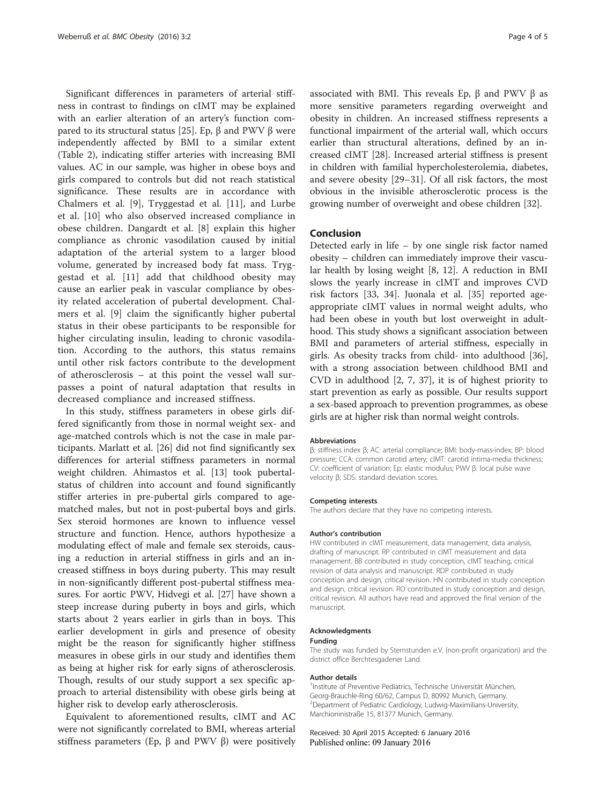Significant differences in parameters of arterial stiffness in contrast to findings on cIMT may be explained with an earlier alteration of an artery's function com-pared to its structural status [\[25](#page-4-0)]. Ep, β and PWV β were independently affected by BMI to a similar extent (Table [2\)](#page-2-0), indicating stiffer arteries with increasing BMI values. AC in our sample, was higher in obese boys and girls compared to controls but did not reach statistical significance. These results are in accordance with Chalmers et al. [[9\]](#page-4-0), Tryggestad et al. [[11\]](#page-4-0), and Lurbe et al. [[10\]](#page-4-0) who also observed increased compliance in obese children. Dangardt et al. [[8\]](#page-4-0) explain this higher compliance as chronic vasodilation caused by initial adaptation of the arterial system to a larger blood volume, generated by increased body fat mass. Tryggestad et al. [[11\]](#page-4-0) add that childhood obesity may cause an earlier peak in vascular compliance by obesity related acceleration of pubertal development. Chalmers et al. [[9\]](#page-4-0) claim the significantly higher pubertal status in their obese participants to be responsible for higher circulating insulin, leading to chronic vasodilation. According to the authors, this status remains until other risk factors contribute to the development of atherosclerosis – at this point the vessel wall surpasses a point of natural adaptation that results in decreased compliance and increased stiffness.

In this study, stiffness parameters in obese girls differed significantly from those in normal weight sex- and age-matched controls which is not the case in male participants. Marlatt et al. [[26\]](#page-4-0) did not find significantly sex differences for arterial stiffness parameters in normal weight children. Ahimastos et al. [[13](#page-4-0)] took pubertalstatus of children into account and found significantly stiffer arteries in pre-pubertal girls compared to agematched males, but not in post-pubertal boys and girls. Sex steroid hormones are known to influence vessel structure and function. Hence, authors hypothesize a modulating effect of male and female sex steroids, causing a reduction in arterial stiffness in girls and an increased stiffness in boys during puberty. This may result in non-significantly different post-pubertal stiffness measures. For aortic PWV, Hidvegi et al. [\[27](#page-4-0)] have shown a steep increase during puberty in boys and girls, which starts about 2 years earlier in girls than in boys. This earlier development in girls and presence of obesity might be the reason for significantly higher stiffness measures in obese girls in our study and identifies them as being at higher risk for early signs of atherosclerosis. Though, results of our study support a sex specific approach to arterial distensibility with obese girls being at higher risk to develop early atherosclerosis.

Equivalent to aforementioned results, cIMT and AC were not significantly correlated to BMI, whereas arterial stiffness parameters (Ep, β and PWV β) were positively associated with BMI. This reveals Ep,  $β$  and PWV  $β$  as more sensitive parameters regarding overweight and obesity in children. An increased stiffness represents a functional impairment of the arterial wall, which occurs earlier than structural alterations, defined by an increased cIMT [[28\]](#page-4-0). Increased arterial stiffness is present in children with familial hypercholesterolemia, diabetes, and severe obesity [[29](#page-4-0)–[31](#page-4-0)]. Of all risk factors, the most obvious in the invisible atherosclerotic process is the growing number of overweight and obese children [[32\]](#page-4-0).

### Conclusion

Detected early in life – by one single risk factor named obesity – children can immediately improve their vascular health by losing weight [\[8](#page-4-0), [12\]](#page-4-0). A reduction in BMI slows the yearly increase in cIMT and improves CVD risk factors [[33](#page-4-0), [34](#page-4-0)]. Juonala et al. [\[35](#page-4-0)] reported ageappropriate cIMT values in normal weight adults, who had been obese in youth but lost overweight in adulthood. This study shows a significant association between BMI and parameters of arterial stiffness, especially in girls. As obesity tracks from child- into adulthood [\[36](#page-4-0)], with a strong association between childhood BMI and CVD in adulthood [[2, 7, 37\]](#page-4-0), it is of highest priority to start prevention as early as possible. Our results support a sex-based approach to prevention programmes, as obese girls are at higher risk than normal weight controls.

#### Abbreviations

β: stiffness index β; AC: arterial compliance; BMI: body-mass-index; BP: blood pressure; CCA: common carotid artery; cIMT: carotid intima-media thickness; CV: coefficient of variation; Ep: elastic modulus; PWV β: local pulse wave velocity β; SDS: standard deviation scores.

#### Competing interests

The authors declare that they have no competing interests.

#### Author's contribution

HW contributed in cIMT measurement, data management, data analysis, drafting of manuscript. RP contributed in cIMT measurement and data management. BB contributed in study conception, cIMT teaching, critical revision of data analysis and manuscript. RDP contributed in study conception and design, critical revision. HN contributed in study conception and design, critical revision. RO contributed in study conception and design, critical revision. All authors have read and approved the final version of the manuscript.

#### Acknowledgments

#### Funding

The study was funded by Sternstunden e.V. (non-profit organization) and the district office Berchtesgadener Land.

#### Author details

<sup>1</sup>Institute of Preventive Pediatrics, Technische Universität München, Georg-Brauchle-Ring 60/62, Campus D, 80992 Munich, Germany. 2 Department of Pediatric Cardiology, Ludwig-Maximilians-University, Marchioninistraße 15, 81377 Munich, Germany.

Received: 30 April 2015 Accepted: 6 January 2016 Published online: 09 January 2016